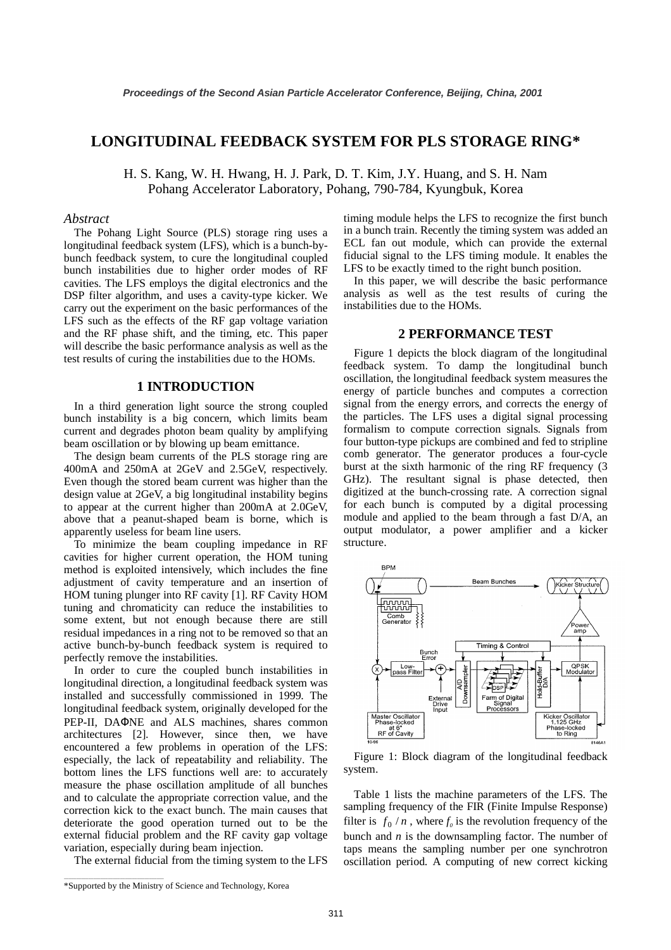# **LONGITUDINAL FEEDBACK SYSTEM FOR PLS STORAGE RING\***

H. S. Kang, W. H. Hwang, H. J. Park, D. T. Kim, J.Y. Huang, and S. H. Nam Pohang Accelerator Laboratory, Pohang, 790-784, Kyungbuk, Korea

## *Abstract*

The Pohang Light Source (PLS) storage ring uses a longitudinal feedback system (LFS), which is a bunch-bybunch feedback system, to cure the longitudinal coupled bunch instabilities due to higher order modes of RF cavities. The LFS employs the digital electronics and the DSP filter algorithm, and uses a cavity-type kicker. We carry out the experiment on the basic performances of the LFS such as the effects of the RF gap voltage variation and the RF phase shift, and the timing, etc. This paper will describe the basic performance analysis as well as the test results of curing the instabilities due to the HOMs.

# **1 INTRODUCTION**

In a third generation light source the strong coupled bunch instability is a big concern, which limits beam current and degrades photon beam quality by amplifying beam oscillation or by blowing up beam emittance.

The design beam currents of the PLS storage ring are 400mA and 250mA at 2GeV and 2.5GeV, respectively. Even though the stored beam current was higher than the design value at 2GeV, a big longitudinal instability begins to appear at the current higher than 200mA at 2.0GeV, above that a peanut-shaped beam is borne, which is apparently useless for beam line users.

To minimize the beam coupling impedance in RF cavities for higher current operation, the HOM tuning method is exploited intensively, which includes the fine adjustment of cavity temperature and an insertion of HOM tuning plunger into RF cavity [1]. RF Cavity HOM tuning and chromaticity can reduce the instabilities to some extent, but not enough because there are still residual impedances in a ring not to be removed so that an active bunch-by-bunch feedback system is required to perfectly remove the instabilities.

In order to cure the coupled bunch instabilities in longitudinal direction, a longitudinal feedback system was installed and successfully commissioned in 1999. The longitudinal feedback system, originally developed for the PEP-II, DAΦNE and ALS machines, shares common architectures [2]. However, since then, we have encountered a few problems in operation of the LFS: especially, the lack of repeatability and reliability. The bottom lines the LFS functions well are: to accurately measure the phase oscillation amplitude of all bunches and to calculate the appropriate correction value, and the correction kick to the exact bunch. The main causes that deteriorate the good operation turned out to be the external fiducial problem and the RF cavity gap voltage variation, especially during beam injection.

The external fiducial from the timing system to the LFS

timing module helps the LFS to recognize the first bunch in a bunch train. Recently the timing system was added an ECL fan out module, which can provide the external fiducial signal to the LFS timing module. It enables the LFS to be exactly timed to the right bunch position.

In this paper, we will describe the basic performance analysis as well as the test results of curing the instabilities due to the HOMs.

#### **2 PERFORMANCE TEST**

Figure 1 depicts the block diagram of the longitudinal feedback system. To damp the longitudinal bunch oscillation, the longitudinal feedback system measures the energy of particle bunches and computes a correction signal from the energy errors, and corrects the energy of the particles. The LFS uses a digital signal processing formalism to compute correction signals. Signals from four button-type pickups are combined and fed to stripline comb generator. The generator produces a four-cycle burst at the sixth harmonic of the ring RF frequency (3 GHz). The resultant signal is phase detected, then digitized at the bunch-crossing rate. A correction signal for each bunch is computed by a digital processing module and applied to the beam through a fast D/A, an output modulator, a power amplifier and a kicker structure.



Figure 1: Block diagram of the longitudinal feedback system.

Table 1 lists the machine parameters of the LFS. The sampling frequency of the FIR (Finite Impulse Response) filter is  $f_0/n$ , where  $f_0$  is the revolution frequency of the bunch and  $n$  is the downsampling factor. The number of taps means the sampling number per one synchrotron oscillation period. A computing of new correct kicking

\_\_\_\_\_\_\_\_\_\_\_\_\_\_\_\_\_\_\_\_\_\_\_\_\_\_\_\_\_\_\_\_\_\_\_\_\_\_\_\_\_

<sup>\*</sup>Supported by the Ministry of Science and Technology, Korea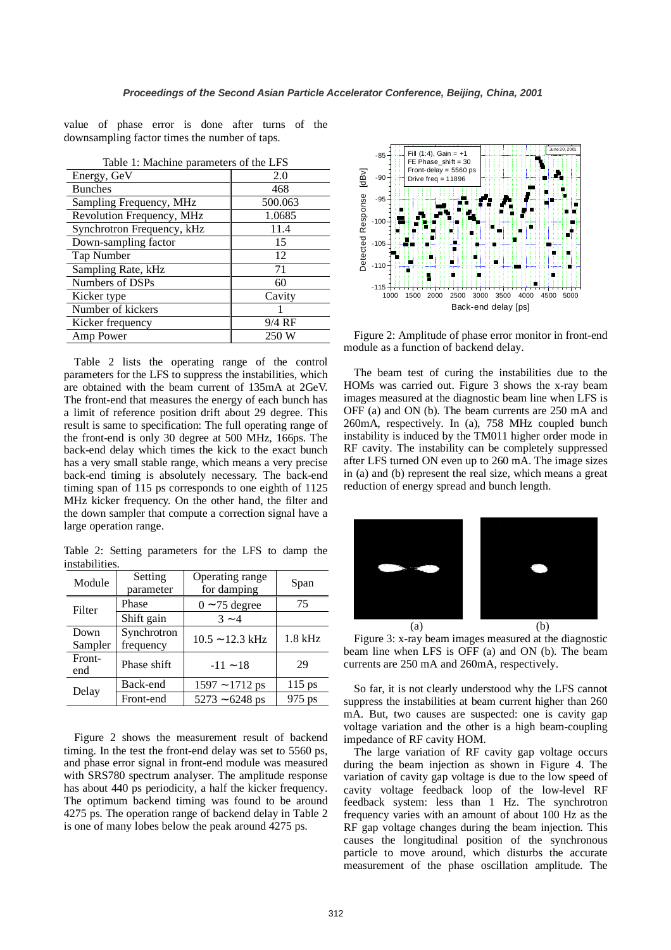value of phase error is done after turns of the downsampling factor times the number of taps.

| Table 1: Machine parameters of the LFS |          |  |  |
|----------------------------------------|----------|--|--|
| Energy, GeV                            | 2.0      |  |  |
| <b>Bunches</b>                         | 468      |  |  |
| Sampling Frequency, MHz                | 500.063  |  |  |
| Revolution Frequency, MHz              | 1.0685   |  |  |
| Synchrotron Frequency, kHz             | 11.4     |  |  |
| Down-sampling factor                   | 15       |  |  |
| Tap Number                             | 12       |  |  |
| Sampling Rate, kHz                     | 71       |  |  |
| Numbers of DSPs                        | 60       |  |  |
| Kicker type                            | Cavity   |  |  |
| Number of kickers                      |          |  |  |
| Kicker frequency                       | $9/4$ RF |  |  |
| Amp Power                              | 250 W    |  |  |

Table 2 lists the operating range of the control parameters for the LFS to suppress the instabilities, which are obtained with the beam current of 135mA at 2GeV. The front-end that measures the energy of each bunch has a limit of reference position drift about 29 degree. This result is same to specification: The full operating range of the front-end is only 30 degree at 500 MHz, 166ps. The back-end delay which times the kick to the exact bunch has a very small stable range, which means a very precise back-end timing is absolutely necessary. The back-end timing span of 115 ps corresponds to one eighth of 1125 MHz kicker frequency. On the other hand, the filter and the down sampler that compute a correction signal have a large operation range.

Table 2: Setting parameters for the LFS to damp the instabilities.

| Module  | Setting<br>parameter | Operating range<br>for damping | Span      |
|---------|----------------------|--------------------------------|-----------|
| Filter  | Phase                | $0 \sim 75$ degree             | 75        |
|         | Shift gain           | $3 - 4$                        |           |
| Down    | Synchrotron          | $10.5 \sim 12.3$ kHz           | $1.8$ kHz |
| Sampler | frequency            |                                |           |
| Front-  | Phase shift          | $-11 - 18$                     | 29        |
| end     |                      |                                |           |
| Delay   | Back-end             | $1597 - 1712$ ps               | $115$ ps  |
|         | Front-end            | $5273 - 6248$ ps               | 975 ps    |

Figure 2 shows the measurement result of backend timing. In the test the front-end delay was set to 5560 ps, and phase error signal in front-end module was measured with SRS780 spectrum analyser. The amplitude response has about 440 ps periodicity, a half the kicker frequency. The optimum backend timing was found to be around 4275 ps. The operation range of backend delay in Table 2 is one of many lobes below the peak around 4275 ps.



Figure 2: Amplitude of phase error monitor in front-end module as a function of backend delay.

The beam test of curing the instabilities due to the HOMs was carried out. Figure 3 shows the x-ray beam images measured at the diagnostic beam line when LFS is OFF (a) and ON (b). The beam currents are 250 mA and 260mA, respectively. In (a), 758 MHz coupled bunch instability is induced by the TM011 higher order mode in RF cavity. The instability can be completely suppressed after LFS turned ON even up to 260 mA. The image sizes in (a) and (b) represent the real size, which means a great reduction of energy spread and bunch length.



Figure 3: x-ray beam images measured at the diagnostic beam line when LFS is OFF (a) and ON (b). The beam currents are 250 mA and 260mA, respectively.

So far, it is not clearly understood why the LFS cannot suppress the instabilities at beam current higher than 260 mA. But, two causes are suspected: one is cavity gap voltage variation and the other is a high beam-coupling impedance of RF cavity HOM.

The large variation of RF cavity gap voltage occurs during the beam injection as shown in Figure 4. The variation of cavity gap voltage is due to the low speed of cavity voltage feedback loop of the low-level RF feedback system: less than 1 Hz. The synchrotron frequency varies with an amount of about 100 Hz as the RF gap voltage changes during the beam injection. This causes the longitudinal position of the synchronous particle to move around, which disturbs the accurate measurement of the phase oscillation amplitude. The